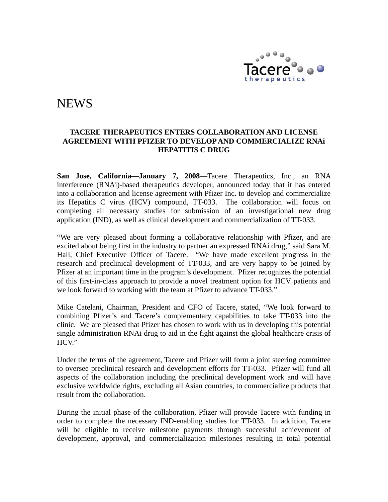

# **NEWS**

#### **TACERE THERAPEUTICS ENTERS COLLABORATION AND LICENSE AGREEMENT WITH PFIZER TO DEVELOP AND COMMERCIALIZE RNAi HEPATITIS C DRUG**

**San Jose, California—January 7, 2008**—Tacere Therapeutics, Inc., an RNA interference (RNAi)-based therapeutics developer, announced today that it has entered into a collaboration and license agreement with Pfizer Inc. to develop and commercialize its Hepatitis C virus (HCV) compound, TT-033. The collaboration will focus on completing all necessary studies for submission of an investigational new drug application (IND), as well as clinical development and commercialization of TT-033.

"We are very pleased about forming a collaborative relationship with Pfizer, and are excited about being first in the industry to partner an expressed RNAi drug," said Sara M. Hall, Chief Executive Officer of Tacere. "We have made excellent progress in the research and preclinical development of TT-033, and are very happy to be joined by Pfizer at an important time in the program's development. Pfizer recognizes the potential of this first-in-class approach to provide a novel treatment option for HCV patients and we look forward to working with the team at Pfizer to advance TT-033."

Mike Catelani, Chairman, President and CFO of Tacere, stated, "We look forward to combining Pfizer's and Tacere's complementary capabilities to take TT-033 into the clinic. We are pleased that Pfizer has chosen to work with us in developing this potential single administration RNAi drug to aid in the fight against the global healthcare crisis of HCV."

Under the terms of the agreement, Tacere and Pfizer will form a joint steering committee to oversee preclinical research and development efforts for TT-033. Pfizer will fund all aspects of the collaboration including the preclinical development work and will have exclusive worldwide rights, excluding all Asian countries, to commercialize products that result from the collaboration.

During the initial phase of the collaboration, Pfizer will provide Tacere with funding in order to complete the necessary IND-enabling studies for TT-033. In addition, Tacere will be eligible to receive milestone payments through successful achievement of development, approval, and commercialization milestones resulting in total potential